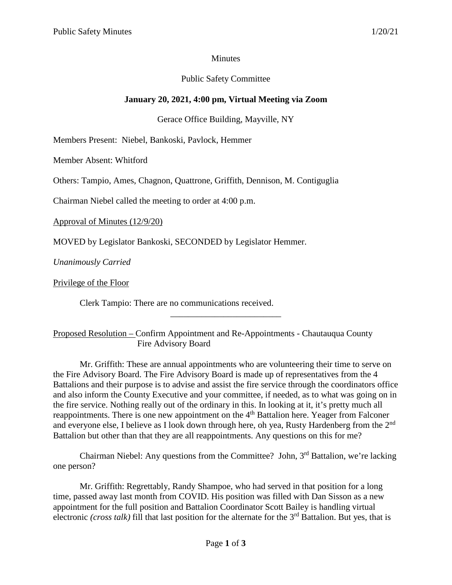### **Minutes**

## Public Safety Committee

# **January 20, 2021, 4:00 pm, Virtual Meeting via Zoom**

Gerace Office Building, Mayville, NY

Members Present: Niebel, Bankoski, Pavlock, Hemmer

Member Absent: Whitford

Others: Tampio, Ames, Chagnon, Quattrone, Griffith, Dennison, M. Contiguglia

Chairman Niebel called the meeting to order at 4:00 p.m.

Approval of Minutes (12/9/20)

MOVED by Legislator Bankoski, SECONDED by Legislator Hemmer.

*Unanimously Carried*

Privilege of the Floor

Clerk Tampio: There are no communications received.

Proposed Resolution – Confirm Appointment and Re-Appointments - Chautauqua County Fire Advisory Board

\_\_\_\_\_\_\_\_\_\_\_\_\_\_\_\_\_\_\_\_\_\_\_\_\_

Mr. Griffith: These are annual appointments who are volunteering their time to serve on the Fire Advisory Board. The Fire Advisory Board is made up of representatives from the 4 Battalions and their purpose is to advise and assist the fire service through the coordinators office and also inform the County Executive and your committee, if needed, as to what was going on in the fire service. Nothing really out of the ordinary in this. In looking at it, it's pretty much all reappointments. There is one new appointment on the 4<sup>th</sup> Battalion here. Yeager from Falconer and everyone else, I believe as I look down through here, oh yea, Rusty Hardenberg from the 2nd Battalion but other than that they are all reappointments. Any questions on this for me?

Chairman Niebel: Any questions from the Committee? John, 3rd Battalion, we're lacking one person?

Mr. Griffith: Regrettably, Randy Shampoe, who had served in that position for a long time, passed away last month from COVID. His position was filled with Dan Sisson as a new appointment for the full position and Battalion Coordinator Scott Bailey is handling virtual electronic *(cross talk)* fill that last position for the alternate for the 3<sup>rd</sup> Battalion. But yes, that is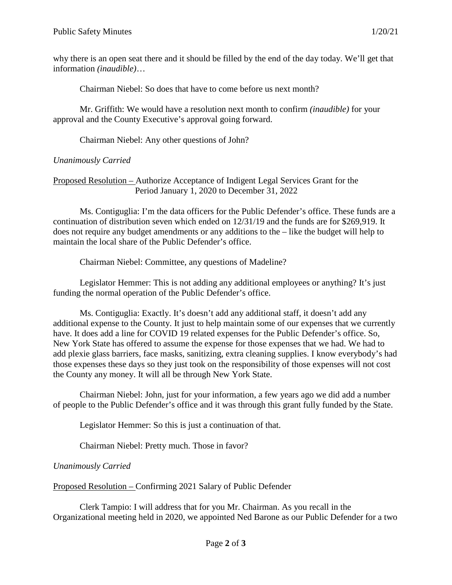why there is an open seat there and it should be filled by the end of the day today. We'll get that information *(inaudible)*…

Chairman Niebel: So does that have to come before us next month?

Mr. Griffith: We would have a resolution next month to confirm *(inaudible)* for your approval and the County Executive's approval going forward.

Chairman Niebel: Any other questions of John?

### *Unanimously Carried*

### Proposed Resolution – Authorize Acceptance of Indigent Legal Services Grant for the Period January 1, 2020 to December 31, 2022

Ms. Contiguglia: I'm the data officers for the Public Defender's office. These funds are a continuation of distribution seven which ended on 12/31/19 and the funds are for \$269,919. It does not require any budget amendments or any additions to the – like the budget will help to maintain the local share of the Public Defender's office.

Chairman Niebel: Committee, any questions of Madeline?

Legislator Hemmer: This is not adding any additional employees or anything? It's just funding the normal operation of the Public Defender's office.

Ms. Contiguglia: Exactly. It's doesn't add any additional staff, it doesn't add any additional expense to the County. It just to help maintain some of our expenses that we currently have. It does add a line for COVID 19 related expenses for the Public Defender's office. So, New York State has offered to assume the expense for those expenses that we had. We had to add plexie glass barriers, face masks, sanitizing, extra cleaning supplies. I know everybody's had those expenses these days so they just took on the responsibility of those expenses will not cost the County any money. It will all be through New York State.

Chairman Niebel: John, just for your information, a few years ago we did add a number of people to the Public Defender's office and it was through this grant fully funded by the State.

Legislator Hemmer: So this is just a continuation of that.

Chairman Niebel: Pretty much. Those in favor?

## *Unanimously Carried*

Proposed Resolution – Confirming 2021 Salary of Public Defender

Clerk Tampio: I will address that for you Mr. Chairman. As you recall in the Organizational meeting held in 2020, we appointed Ned Barone as our Public Defender for a two